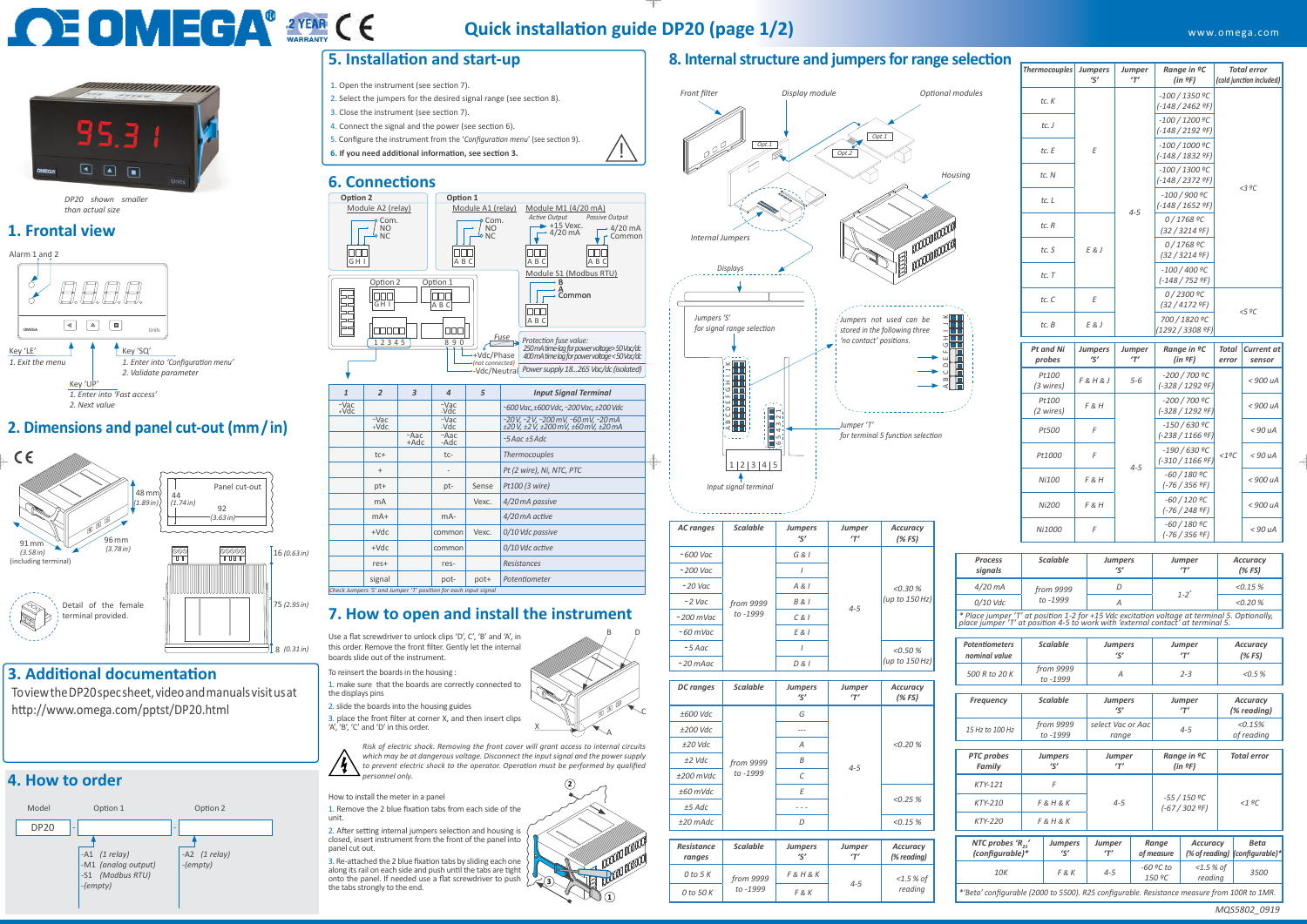

X





#### www.omega.com

To view the DP20 spec sheet, video and manuals visit us at http://www.omega.com/pptst/DP20.html

#### **3. Additional documentation**

- 1. Open the instrument (see section 7).
- 2. Select the jumpers for the desired signal range (see section 8).
- 3. Close the instrument (see section 7).
- 4. Connect the signal and the power (see section 6).
- 5. Configure the instrument from the '*Configuration menu*' (see section 9).
- **6. If you need additional information, see section 3.**

### **5. Installation and start-up**

#### **6. Connections**

#### **4. How to order**

#### **2. Dimensions and panel cut-out (mm / in)**

#### **8. Internal structure and jumpers for range selection**

*MQS5802\_0919*





*<1ºC*

*4-5*

*Pt500 <sup>F</sup> -150 / 630 ºC*

*(-238 / 1166 ºF) < 90 uA*

*Pt1000 <sup>F</sup> -190 / 630 ºC*

*(-310 / 1166 ºF) < 90 uA*

*Ni100 <sup>F</sup>&<sup>H</sup> -60 / 180 ºC*

*(-76 / 356 ºF) < 900 uA*

*Ni200 <sup>F</sup>&<sup>H</sup> -60 / 120 ºC*

*(-76 / 248 ºF) < 900 uA*

*Ni1000 <sup>F</sup> -60 / 180 ºC*

| <b>Thermocouples</b> | <b>Jumpers</b><br>$\zeta'$ | Jumper<br>T' | Range in <sup>o</sup> C<br>(in 9F)  |                                    | <b>Total error</b><br>(cold junction included) |  |
|----------------------|----------------------------|--------------|-------------------------------------|------------------------------------|------------------------------------------------|--|
| tc. K                |                            |              | $-100/1350$ ºC<br>$(-148/2462$ ºF)  |                                    |                                                |  |
| tc. J                | E                          |              |                                     | $-100/1200$ ºC<br>(-148 / 2192 ºF) |                                                |  |
| $tc. F$              |                            |              |                                     | $-100/1000$ ºC<br>(-148 / 1832 ºF) |                                                |  |
| tc. N                |                            | $4 - 5$      | $-100/1300$ ºC<br>(-148 / 2372 ºF)  |                                    |                                                |  |
| tc. L                |                            |              | $-100/900$ $°C$<br>(-148 / 1652 ºF) |                                    | < 3 °C                                         |  |
| tc. R                |                            |              | 0/1768 ºC<br>(32/32149)             |                                    |                                                |  |
| tc. S                | E & J                      |              | 0/1768 ºC<br>(32/32149)             |                                    |                                                |  |
| tc. T                |                            |              | $-100/400$ $°C$<br>$(-148/752$ ºF)  |                                    |                                                |  |
| tc. C                | E                          |              | 0/2300 ºC<br>(32 / 4172 ºF)         | 5.9C                               |                                                |  |
| tc. B                | E & J                      |              | 700 / 1820 ºC<br>(1292 / 3308 ºF)   |                                    |                                                |  |
| Pt and Ni<br>probes  | <b>Jumpers</b><br>'ς'      | Jumper<br>T' | Range in <sup>o</sup> C<br>(in 9F)  | <b>Total</b><br>error              | <b>Current at</b><br>sensor                    |  |
| Pt100<br>(3 wires)   | F8H8J                      | $5 - 6$      | -200 / 700 ºC<br>(-328 / 1292 ºF)   |                                    | $<$ 900 uA                                     |  |
| Pt100<br>(2 wires)   | F & H                      |              | -200 / 700 ºC<br>(-328 / 1292 ºF)   |                                    | < 900 uA                                       |  |



|                           | Ni1000          |  |                            | $007100 - C$<br>$(-76/356$ °F) |                   | $<$ 90 $\mu$ A |
|---------------------------|-----------------|--|----------------------------|--------------------------------|-------------------|----------------|
|                           |                 |  |                            |                                |                   |                |
| <b>Process</b><br>signals | <b>Scalable</b> |  | <b>Jumpers</b><br>$\zeta'$ | Jumper<br>T'                   | Accuracy<br>(%FS) |                |
| 4/20 mA                   | from 9999       |  | D                          | $1 - 2^*$                      |                   | <0.15%         |
| 0/10 Vdc                  | to -1999        |  | A                          |                                |                   | $< 0.20 \%$    |

| <b>Potentiometers</b><br>nominal value                                                     |                                                                           | <b>Scalable</b>       | Jumpers<br>'ς'             |  | Jumper<br>T'                                             |  | <b>Accuracy</b><br>(% FS) |                                |  |
|--------------------------------------------------------------------------------------------|---------------------------------------------------------------------------|-----------------------|----------------------------|--|----------------------------------------------------------|--|---------------------------|--------------------------------|--|
| 500 R to 20 K                                                                              |                                                                           | from 9999<br>to -1999 | A                          |  | $2 - 3$                                                  |  | < 0.5 %                   |                                |  |
|                                                                                            |                                                                           |                       |                            |  |                                                          |  |                           |                                |  |
| <b>Frequency</b>                                                                           |                                                                           | <b>Scalable</b>       | Jumpers<br>'ς'             |  | <b>Jumper</b><br>T'                                      |  | Accuracy<br>(% reading)   |                                |  |
| 15 Hz to 100 Hz                                                                            |                                                                           | from 9999<br>to -1999 | select Vac or Aac<br>range |  | $4 - 5$                                                  |  | < 0.15%<br>of reading     |                                |  |
|                                                                                            |                                                                           |                       |                            |  |                                                          |  |                           |                                |  |
| <b>PTC</b> probes<br>Family                                                                | <b>Jumpers</b><br>'ς'                                                     |                       | Jumper<br>T'               |  | Range in <sup>o</sup> C<br>(in 2F)                       |  | <b>Total error</b>        |                                |  |
| $KTY-121$                                                                                  |                                                                           | F                     | $4 - 5$                    |  | $-55/150$ $°C$<br>$(-67/3029)$                           |  |                           |                                |  |
| $KTY-210$                                                                                  |                                                                           | $F$ & H & K           |                            |  |                                                          |  |                           | $<1$ ºC                        |  |
| $KTY-220$                                                                                  |                                                                           | $F$ & H & K           |                            |  |                                                          |  |                           |                                |  |
|                                                                                            | NTC probes ' $R_{25}$ '<br><b>Jumpers</b><br>'ς'<br>T'<br>(configurable)* |                       | Jumper                     |  | Range<br><b>Accuracy</b><br>(% of reading)<br>of measure |  |                           | <b>Beta</b><br>(configurable)* |  |
| 10K                                                                                        |                                                                           | $F$ & $K$             | $4 - 5$                    |  | $-60$ ºC to<br>$<$ 1.5 % of<br>150 ºC<br>reading         |  |                           | 3500                           |  |
| "Beta' configurable (2000 to 5500). R25 configurable. Resistance measure from 100R to 1MR. |                                                                           |                       |                            |  |                                                          |  |                           |                                |  |

*reading 0 to 50 K F & K*

 $\overline{1}$ 

*\* Place jumper 'T' at position 1-2 for +15 Vdc excitation voltage at terminal 5. Optionally, place jumper 'T' at position 4-5 to work with 'external contact' at terminal 5.*



#### **7. How to open and install the instrument**

signal pot- pot- *Potentiometer* 

Use a flat screwdriver to unlock clips 'D', C', 'B' and 'A', in this order. Remove the front filter. Gently let the internal boards slide out of the instrument.

To reinsert the boards in the housing :

1. make sure that the boards are correctly connected to the displays pins

2. slide the boards into the housing guides

3. place the front filter at corner X, and then insert clips 'A', 'B', 'C' and 'D' in this order.

**Quick installation guide DP20 (page 1/2)**

## **OE OMEGA® 2YEAR CE**

# 

*DP20 shown smaller than actual size*





*Check Jumpers 'S' and Jumper 'T' position for each input signal*

How to install the meter in a panel

1. Remove the 2 blue fixation tabs from each side of the unit.

2. After setting internal jumpers selection and housing is closed, insert instrument from the front of the panel into panel cut out.

3. Re-attached the 2 blue fixation tabs by sliding each one along its rail on each side and push until the tabs are tight onto the panel. If needed use a flat screwdriver to push the tabs strongly to the end.

#### **1. Frontal view**